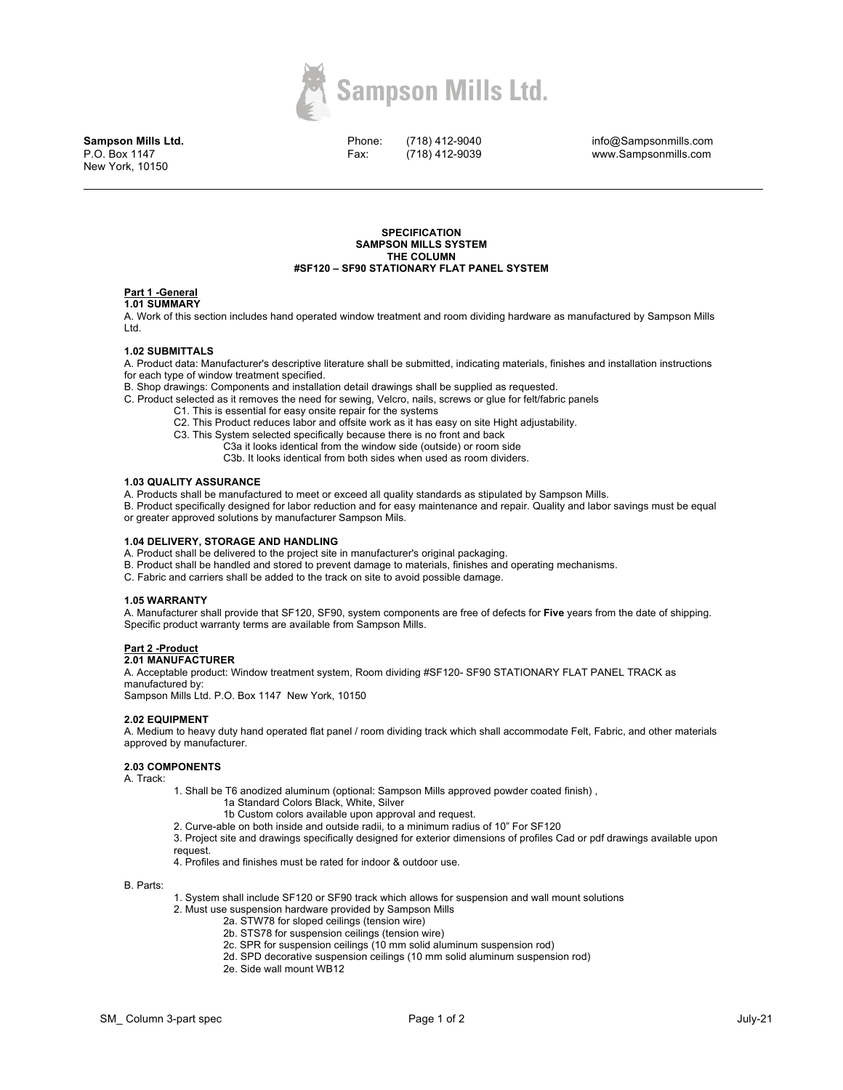

**Sampson Mills Ltd.** P.O. Box 1147 New York, 10150

Phone: Fax:

(718) 412-9040 (718) 412-9039

info@Sampsonmills.com www.Sampsonmills.com

#### **SPECIFICATION SAMPSON MILLS SYSTEM THE COLUMN #SF120 – SF90 STATIONARY FLAT PANEL SYSTEM**

# **Part 1 -General**

#### **1.01 SUMMARY**

A. Work of this section includes hand operated window treatment and room dividing hardware as manufactured by Sampson Mills Ltd.

## **1.02 SUBMITTALS**

A. Product data: Manufacturer's descriptive literature shall be submitted, indicating materials, finishes and installation instructions for each type of window treatment specified.

B. Shop drawings: Components and installation detail drawings shall be supplied as requested.

- C. Product selected as it removes the need for sewing, Velcro, nails, screws or glue for felt/fabric panels
	- C1. This is essential for easy onsite repair for the systems
	- C2. This Product reduces labor and offsite work as it has easy on site Hight adjustability.

C3. This System selected specifically because there is no front and back

- C3a it looks identical from the window side (outside) or room side
	- C3b. It looks identical from both sides when used as room dividers.

#### **1.03 QUALITY ASSURANCE**

A. Products shall be manufactured to meet or exceed all quality standards as stipulated by Sampson Mills.

B. Product specifically designed for labor reduction and for easy maintenance and repair. Quality and labor savings must be equal or greater approved solutions by manufacturer Sampson Mils.

#### **1.04 DELIVERY, STORAGE AND HANDLING**

- A. Product shall be delivered to the project site in manufacturer's original packaging.
- B. Product shall be handled and stored to prevent damage to materials, finishes and operating mechanisms.
- C. Fabric and carriers shall be added to the track on site to avoid possible damage.

## **1.05 WARRANTY**

A. Manufacturer shall provide that SF120, SF90, system components are free of defects for **Five** years from the date of shipping. Specific product warranty terms are available from Sampson Mills.

# **Part 2 -Product**

# **2.01 MANUFACTURER**

A. Acceptable product: Window treatment system, Room dividing #SF120- SF90 STATIONARY FLAT PANEL TRACK as manufactured by:

Sampson Mills Ltd. P.O. Box 1147 New York, 10150

## **2.02 EQUIPMENT**

A. Medium to heavy duty hand operated flat panel / room dividing track which shall accommodate Felt, Fabric, and other materials approved by manufacturer.

## **2.03 COMPONENTS**

A. Track:

- 1. Shall be T6 anodized aluminum (optional: Sampson Mills approved powder coated finish) , 1a Standard Colors Black, White, Silver
	- 1b Custom colors available upon approval and request.
	- 2. Curve-able on both inside and outside radii, to a minimum radius of 10" For SF120

3. Project site and drawings specifically designed for exterior dimensions of profiles Cad or pdf drawings available upon request.

4. Profiles and finishes must be rated for indoor & outdoor use.

B. Parts:

- 1. System shall include SF120 or SF90 track which allows for suspension and wall mount solutions
- 2. Must use suspension hardware provided by Sampson Mills
	- 2a. STW78 for sloped ceilings (tension wire)
	- 2b. STS78 for suspension ceilings (tension wire)
	- 2c. SPR for suspension ceilings (10 mm solid aluminum suspension rod)
	- 2d. SPD decorative suspension ceilings (10 mm solid aluminum suspension rod)
	- 2e. Side wall mount WB12